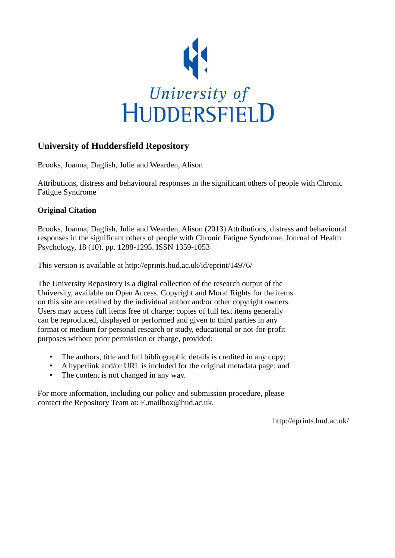

## **University of Huddersfield Repository**

Brooks, Joanna, Daglish, Julie and Wearden, Alison

Attributions, distress and behavioural responses in the significant others of people with Chronic Fatigue Syndrome

### **Original Citation**

Brooks, Joanna, Daglish, Julie and Wearden, Alison (2013) Attributions, distress and behavioural responses in the significant others of people with Chronic Fatigue Syndrome. Journal of Health Psychology, 18 (10). pp. 1288-1295. ISSN 1359-1053

This version is available at http://eprints.hud.ac.uk/id/eprint/14976/

The University Repository is a digital collection of the research output of the University, available on Open Access. Copyright and Moral Rights for the items on this site are retained by the individual author and/or other copyright owners. Users may access full items free of charge; copies of full text items generally can be reproduced, displayed or performed and given to third parties in any format or medium for personal research or study, educational or not-for-profit purposes without prior permission or charge, provided:

- The authors, title and full bibliographic details is credited in any copy;
- A hyperlink and/or URL is included for the original metadata page; and
- The content is not changed in any way.

For more information, including our policy and submission procedure, please contact the Repository Team at: E.mailbox@hud.ac.uk.

http://eprints.hud.ac.uk/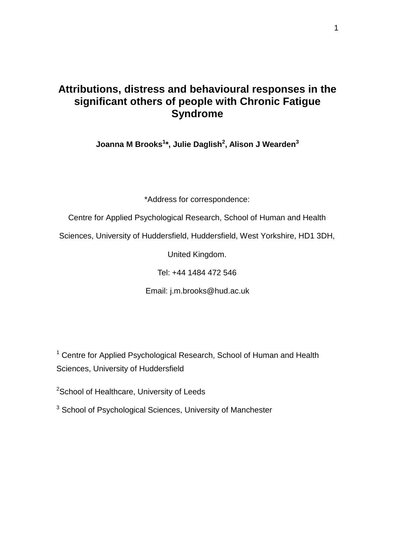## **Attributions, distress and behavioural responses in the significant others of people with Chronic Fatigue Syndrome**

**Joanna M Brooks<sup>1</sup> \*, Julie Daglish<sup>2</sup> , Alison J Wearden<sup>3</sup>**

\*Address for correspondence:

Centre for Applied Psychological Research, School of Human and Health

Sciences, University of Huddersfield, Huddersfield, West Yorkshire, HD1 3DH,

United Kingdom.

Tel: +44 1484 472 546

Email: j.m.brooks@hud.ac.uk

<sup>1</sup> Centre for Applied Psychological Research, School of Human and Health Sciences, University of Huddersfield

<sup>2</sup>School of Healthcare, University of Leeds

<sup>3</sup> School of Psychological Sciences, University of Manchester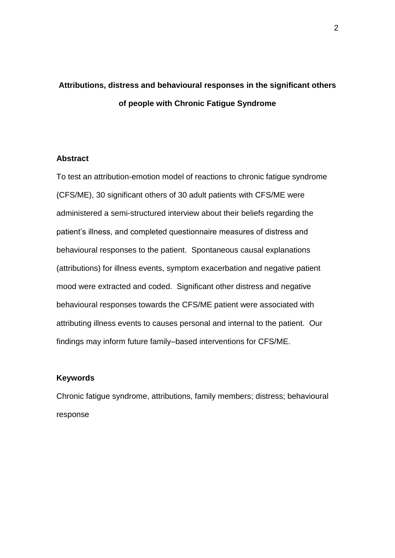# **Attributions, distress and behavioural responses in the significant others of people with Chronic Fatigue Syndrome**

#### **Abstract**

To test an attribution-emotion model of reactions to chronic fatigue syndrome (CFS/ME), 30 significant others of 30 adult patients with CFS/ME were administered a semi-structured interview about their beliefs regarding the patient"s illness, and completed questionnaire measures of distress and behavioural responses to the patient. Spontaneous causal explanations (attributions) for illness events, symptom exacerbation and negative patient mood were extracted and coded. Significant other distress and negative behavioural responses towards the CFS/ME patient were associated with attributing illness events to causes personal and internal to the patient. Our findings may inform future family–based interventions for CFS/ME.

#### **Keywords**

Chronic fatigue syndrome, attributions, family members; distress; behavioural response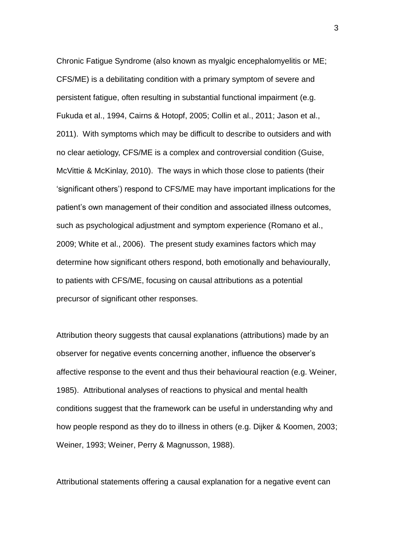Chronic Fatigue Syndrome (also known as myalgic encephalomyelitis or ME; CFS/ME) is a debilitating condition with a primary symptom of severe and persistent fatigue, often resulting in substantial functional impairment (e.g. Fukuda et al., 1994, Cairns & Hotopf, 2005; Collin et al., 2011; Jason et al., 2011). With symptoms which may be difficult to describe to outsiders and with no clear aetiology, CFS/ME is a complex and controversial condition (Guise, McVittie & McKinlay, 2010). The ways in which those close to patients (their "significant others") respond to CFS/ME may have important implications for the patient"s own management of their condition and associated illness outcomes, such as psychological adjustment and symptom experience (Romano et al., 2009; White et al., 2006). The present study examines factors which may determine how significant others respond, both emotionally and behaviourally, to patients with CFS/ME, focusing on causal attributions as a potential precursor of significant other responses.

Attribution theory suggests that causal explanations (attributions) made by an observer for negative events concerning another, influence the observer"s affective response to the event and thus their behavioural reaction (e.g. Weiner, 1985). Attributional analyses of reactions to physical and mental health conditions suggest that the framework can be useful in understanding why and how people respond as they do to illness in others (e.g. Dijker & Koomen, 2003; Weiner, 1993; Weiner, Perry & Magnusson, 1988).

Attributional statements offering a causal explanation for a negative event can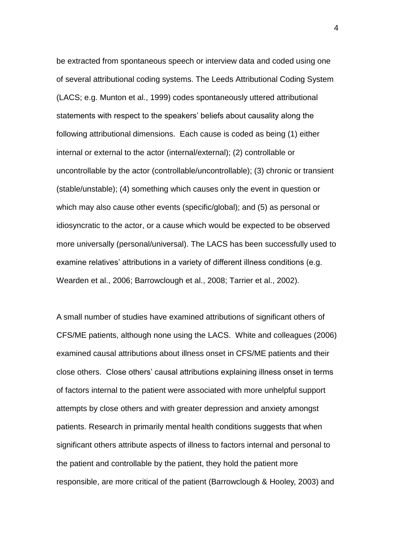be extracted from spontaneous speech or interview data and coded using one of several attributional coding systems. The Leeds Attributional Coding System (LACS; e.g. Munton et al., 1999) codes spontaneously uttered attributional statements with respect to the speakers" beliefs about causality along the following attributional dimensions. Each cause is coded as being (1) either internal or external to the actor (internal/external); (2) controllable or uncontrollable by the actor (controllable/uncontrollable); (3) chronic or transient (stable/unstable); (4) something which causes only the event in question or which may also cause other events (specific/global); and (5) as personal or idiosyncratic to the actor, or a cause which would be expected to be observed more universally (personal/universal). The LACS has been successfully used to examine relatives' attributions in a variety of different illness conditions (e.g. Wearden et al., 2006; Barrowclough et al., 2008; Tarrier et al., 2002).

A small number of studies have examined attributions of significant others of CFS/ME patients, although none using the LACS. White and colleagues (2006) examined causal attributions about illness onset in CFS/ME patients and their close others. Close others" causal attributions explaining illness onset in terms of factors internal to the patient were associated with more unhelpful support attempts by close others and with greater depression and anxiety amongst patients. Research in primarily mental health conditions suggests that when significant others attribute aspects of illness to factors internal and personal to the patient and controllable by the patient, they hold the patient more responsible, are more critical of the patient (Barrowclough & Hooley, 2003) and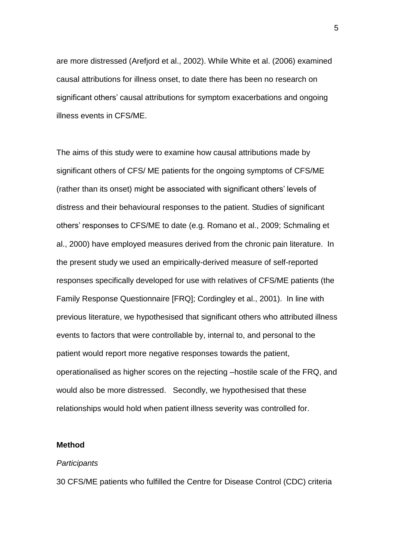are more distressed (Arefjord et al., 2002). While White et al. (2006) examined causal attributions for illness onset, to date there has been no research on significant others' causal attributions for symptom exacerbations and ongoing illness events in CFS/ME.

The aims of this study were to examine how causal attributions made by significant others of CFS/ ME patients for the ongoing symptoms of CFS/ME (rather than its onset) might be associated with significant others" levels of distress and their behavioural responses to the patient. Studies of significant others" responses to CFS/ME to date (e.g. Romano et al., 2009; Schmaling et al., 2000) have employed measures derived from the chronic pain literature. In the present study we used an empirically-derived measure of self-reported responses specifically developed for use with relatives of CFS/ME patients (the Family Response Questionnaire [FRQ]; Cordingley et al., 2001). In line with previous literature, we hypothesised that significant others who attributed illness events to factors that were controllable by, internal to, and personal to the patient would report more negative responses towards the patient, operationalised as higher scores on the rejecting –hostile scale of the FRQ, and would also be more distressed. Secondly, we hypothesised that these relationships would hold when patient illness severity was controlled for.

#### **Method**

#### *Participants*

30 CFS/ME patients who fulfilled the Centre for Disease Control (CDC) criteria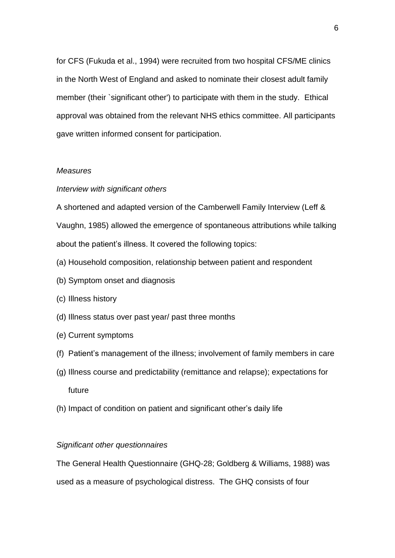for CFS (Fukuda et al., 1994) were recruited from two hospital CFS/ME clinics in the North West of England and asked to nominate their closest adult family member (their `significant other') to participate with them in the study. Ethical approval was obtained from the relevant NHS ethics committee. All participants gave written informed consent for participation.

#### *Measures*

#### *Interview with significant others*

A shortened and adapted version of the Camberwell Family Interview (Leff & Vaughn, 1985) allowed the emergence of spontaneous attributions while talking about the patient"s illness. It covered the following topics:

- (a) Household composition, relationship between patient and respondent
- (b) Symptom onset and diagnosis
- (c) Illness history
- (d) Illness status over past year/ past three months
- (e) Current symptoms
- (f) Patient"s management of the illness; involvement of family members in care
- (g) Illness course and predictability (remittance and relapse); expectations for future
- (h) Impact of condition on patient and significant other"s daily life

#### *Significant other questionnaires*

The General Health Questionnaire (GHQ-28; Goldberg & Williams, 1988) was used as a measure of psychological distress. The GHQ consists of four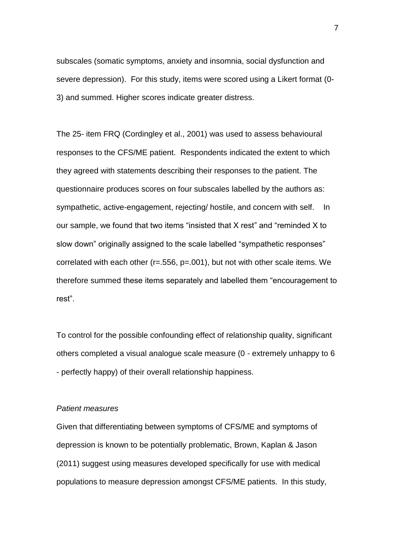subscales (somatic symptoms, anxiety and insomnia, social dysfunction and severe depression). For this study, items were scored using a Likert format (0- 3) and summed. Higher scores indicate greater distress.

The 25- item FRQ (Cordingley et al., 2001) was used to assess behavioural responses to the CFS/ME patient. Respondents indicated the extent to which they agreed with statements describing their responses to the patient. The questionnaire produces scores on four subscales labelled by the authors as: sympathetic, active-engagement, rejecting/ hostile, and concern with self. In our sample, we found that two items "insisted that X rest" and "reminded X to slow down" originally assigned to the scale labelled "sympathetic responses" correlated with each other (r=.556, p=.001), but not with other scale items. We therefore summed these items separately and labelled them "encouragement to rest".

To control for the possible confounding effect of relationship quality, significant others completed a visual analogue scale measure (0 - extremely unhappy to 6 - perfectly happy) of their overall relationship happiness.

#### *Patient measures*

Given that differentiating between symptoms of CFS/ME and symptoms of depression is known to be potentially problematic, Brown, Kaplan & Jason (2011) suggest using measures developed specifically for use with medical populations to measure depression amongst CFS/ME patients. In this study,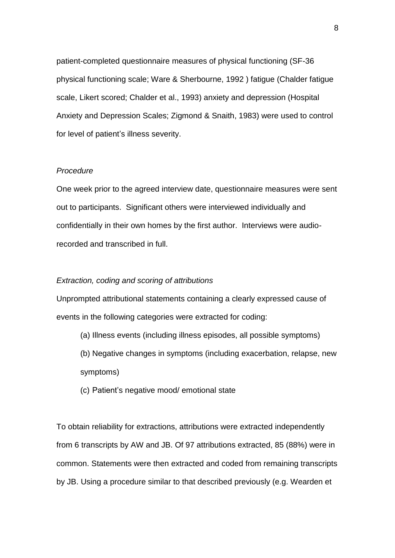patient-completed questionnaire measures of physical functioning (SF-36 physical functioning scale; Ware & Sherbourne, 1992 ) fatigue (Chalder fatigue scale, Likert scored; Chalder et al., 1993) anxiety and depression (Hospital Anxiety and Depression Scales; Zigmond & Snaith, 1983) were used to control for level of patient's illness severity.

#### *Procedure*

One week prior to the agreed interview date, questionnaire measures were sent out to participants. Significant others were interviewed individually and confidentially in their own homes by the first author. Interviews were audiorecorded and transcribed in full.

#### *Extraction, coding and scoring of attributions*

Unprompted attributional statements containing a clearly expressed cause of events in the following categories were extracted for coding:

- (a) Illness events (including illness episodes, all possible symptoms)
- (b) Negative changes in symptoms (including exacerbation, relapse, new symptoms)
- (c) Patient"s negative mood/ emotional state

To obtain reliability for extractions, attributions were extracted independently from 6 transcripts by AW and JB. Of 97 attributions extracted, 85 (88%) were in common. Statements were then extracted and coded from remaining transcripts by JB. Using a procedure similar to that described previously (e.g. Wearden et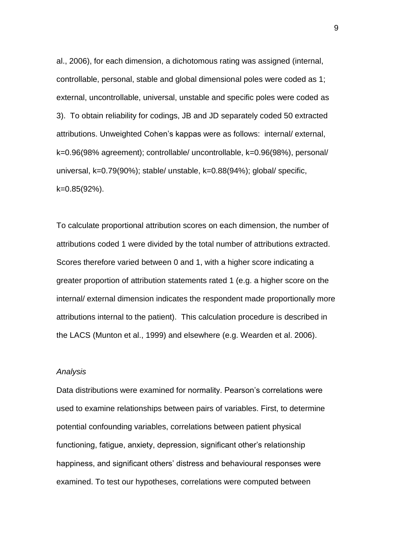al., 2006), for each dimension, a dichotomous rating was assigned (internal, controllable, personal, stable and global dimensional poles were coded as 1; external, uncontrollable, universal, unstable and specific poles were coded as 3). To obtain reliability for codings, JB and JD separately coded 50 extracted attributions. Unweighted Cohen"s kappas were as follows: internal/ external, k=0.96(98% agreement); controllable/ uncontrollable, k=0.96(98%), personal/ universal, k=0.79(90%); stable/ unstable, k=0.88(94%); global/ specific, k=0.85(92%).

To calculate proportional attribution scores on each dimension, the number of attributions coded 1 were divided by the total number of attributions extracted. Scores therefore varied between 0 and 1, with a higher score indicating a greater proportion of attribution statements rated 1 (e.g. a higher score on the internal/ external dimension indicates the respondent made proportionally more attributions internal to the patient). This calculation procedure is described in the LACS (Munton et al., 1999) and elsewhere (e.g. Wearden et al. 2006).

#### *Analysis*

Data distributions were examined for normality. Pearson"s correlations were used to examine relationships between pairs of variables. First, to determine potential confounding variables, correlations between patient physical functioning, fatigue, anxiety, depression, significant other"s relationship happiness, and significant others" distress and behavioural responses were examined. To test our hypotheses, correlations were computed between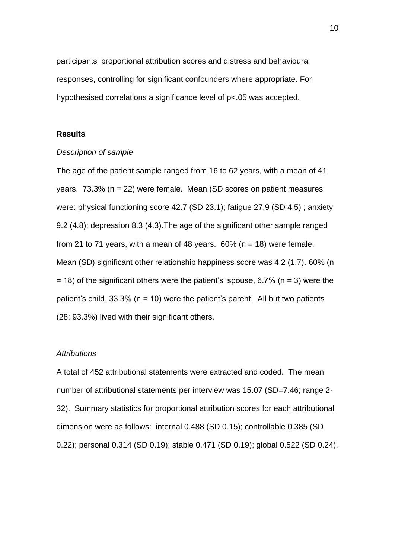participants" proportional attribution scores and distress and behavioural responses, controlling for significant confounders where appropriate. For hypothesised correlations a significance level of p<.05 was accepted.

#### **Results**

#### *Description of sample*

The age of the patient sample ranged from 16 to 62 years, with a mean of 41 years. 73.3% (n = 22) were female. Mean (SD scores on patient measures were: physical functioning score 42.7 (SD 23.1); fatigue 27.9 (SD 4.5) ; anxiety 9.2 (4.8); depression 8.3 (4.3).The age of the significant other sample ranged from 21 to 71 years, with a mean of 48 years.  $60\%$  (n = 18) were female. Mean (SD) significant other relationship happiness score was 4.2 (1.7). 60% (n  $=$  18) of the significant others were the patient's' spouse, 6.7% (n = 3) were the patient's child,  $33.3\%$  (n = 10) were the patient's parent. All but two patients (28; 93.3%) lived with their significant others.

#### *Attributions*

A total of 452 attributional statements were extracted and coded. The mean number of attributional statements per interview was 15.07 (SD=7.46; range 2-32). Summary statistics for proportional attribution scores for each attributional dimension were as follows: internal 0.488 (SD 0.15); controllable 0.385 (SD 0.22); personal 0.314 (SD 0.19); stable 0.471 (SD 0.19); global 0.522 (SD 0.24).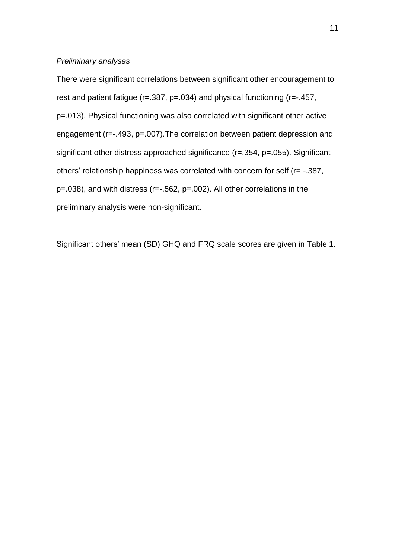#### *Preliminary analyses*

There were significant correlations between significant other encouragement to rest and patient fatigue (r=.387, p=.034) and physical functioning (r=-.457, p=.013). Physical functioning was also correlated with significant other active engagement (r=-.493, p=.007).The correlation between patient depression and significant other distress approached significance (r=.354, p=.055). Significant others" relationship happiness was correlated with concern for self (r= -.387, p=.038), and with distress (r=-.562, p=.002). All other correlations in the preliminary analysis were non-significant.

Significant others" mean (SD) GHQ and FRQ scale scores are given in Table 1.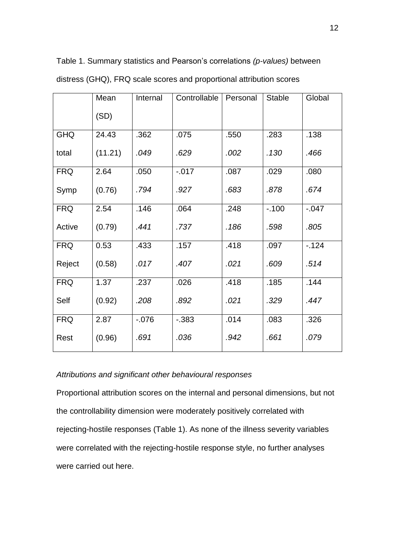|            | Mean    | Internal | Controllable | Personal | <b>Stable</b> | Global   |
|------------|---------|----------|--------------|----------|---------------|----------|
|            | (SD)    |          |              |          |               |          |
| <b>GHQ</b> | 24.43   | .362     | .075         | .550     | .283          | .138     |
| total      | (11.21) | .049     | .629         | .002     | .130          | .466     |
| <b>FRQ</b> | 2.64    | .050     | $-0.017$     | .087     | .029          | .080     |
| Symp       | (0.76)  | .794     | .927         | .683     | .878          | .674     |
| <b>FRQ</b> | 2.54    | .146     | .064         | .248     | $-.100$       | $-0.047$ |
| Active     | (0.79)  | .441     | .737         | .186     | .598          | .805     |
| <b>FRQ</b> | 0.53    | .433     | .157         | .418     | .097          | $-124$   |
| Reject     | (0.58)  | .017     | .407         | .021     | .609          | .514     |
| <b>FRQ</b> | 1.37    | .237     | .026         | .418     | .185          | .144     |
| Self       | (0.92)  | .208     | .892         | .021     | .329          | .447     |
| <b>FRQ</b> | 2.87    | $-0.076$ | $-0.383$     | .014     | .083          | .326     |
| Rest       | (0.96)  | .691     | .036         | .942     | .661          | .079     |

Table 1. Summary statistics and Pearson"s correlations *(p-values)* between

## distress (GHQ), FRQ scale scores and proportional attribution scores

#### *Attributions and significant other behavioural responses*

Proportional attribution scores on the internal and personal dimensions, but not the controllability dimension were moderately positively correlated with rejecting-hostile responses (Table 1). As none of the illness severity variables were correlated with the rejecting-hostile response style, no further analyses were carried out here.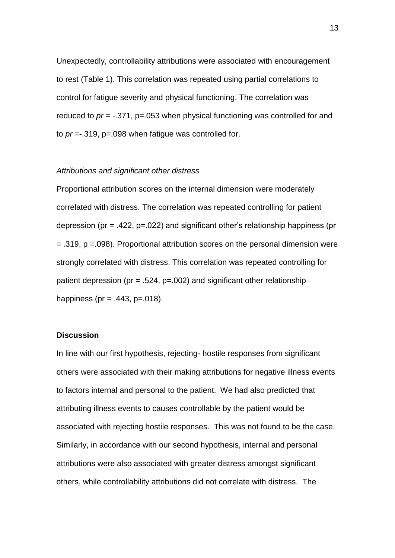Unexpectedly, controllability attributions were associated with encouragement to rest (Table 1). This correlation was repeated using partial correlations to control for fatigue severity and physical functioning. The correlation was reduced to *pr* = -.371, p=.053 when physical functioning was controlled for and to *pr* =-.319, p=.098 when fatigue was controlled for.

#### *Attributions and significant other distress*

Proportional attribution scores on the internal dimension were moderately correlated with distress. The correlation was repeated controlling for patient depression (pr = .422, p=.022) and significant other"s relationship happiness (pr = .319, p =.098). Proportional attribution scores on the personal dimension were strongly correlated with distress. This correlation was repeated controlling for patient depression (pr = .524, p=.002) and significant other relationship happiness (pr = .443,  $p = .018$ ).

#### **Discussion**

In line with our first hypothesis, rejecting- hostile responses from significant others were associated with their making attributions for negative illness events to factors internal and personal to the patient. We had also predicted that attributing illness events to causes controllable by the patient would be associated with rejecting hostile responses. This was not found to be the case. Similarly, in accordance with our second hypothesis, internal and personal attributions were also associated with greater distress amongst significant others, while controllability attributions did not correlate with distress. The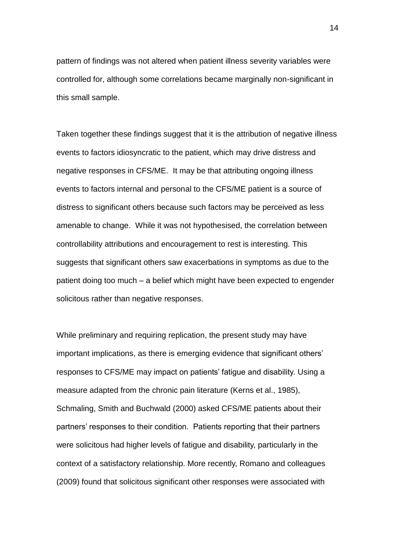pattern of findings was not altered when patient illness severity variables were controlled for, although some correlations became marginally non-significant in this small sample.

Taken together these findings suggest that it is the attribution of negative illness events to factors idiosyncratic to the patient, which may drive distress and negative responses in CFS/ME. It may be that attributing ongoing illness events to factors internal and personal to the CFS/ME patient is a source of distress to significant others because such factors may be perceived as less amenable to change. While it was not hypothesised, the correlation between controllability attributions and encouragement to rest is interesting. This suggests that significant others saw exacerbations in symptoms as due to the patient doing too much – a belief which might have been expected to engender solicitous rather than negative responses.

While preliminary and requiring replication, the present study may have important implications, as there is emerging evidence that significant others' responses to CFS/ME may impact on patients' fatigue and disability. Using a measure adapted from the chronic pain literature (Kerns et al., 1985), Schmaling, Smith and Buchwald (2000) asked CFS/ME patients about their partners" responses to their condition. Patients reporting that their partners were solicitous had higher levels of fatigue and disability, particularly in the context of a satisfactory relationship. More recently, Romano and colleagues (2009) found that solicitous significant other responses were associated with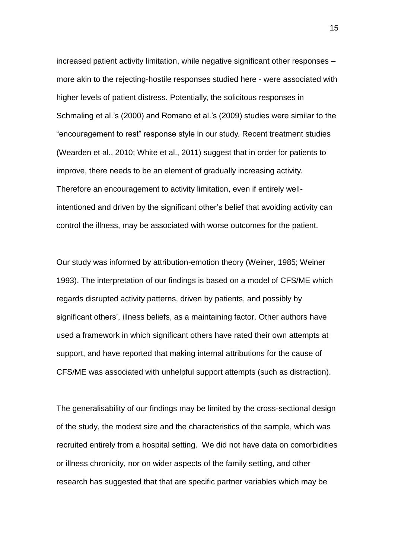increased patient activity limitation, while negative significant other responses – more akin to the rejecting-hostile responses studied here - were associated with higher levels of patient distress. Potentially, the solicitous responses in Schmaling et al.'s (2000) and Romano et al.'s (2009) studies were similar to the "encouragement to rest" response style in our study. Recent treatment studies (Wearden et al., 2010; White et al., 2011) suggest that in order for patients to improve, there needs to be an element of gradually increasing activity. Therefore an encouragement to activity limitation, even if entirely wellintentioned and driven by the significant other"s belief that avoiding activity can control the illness, may be associated with worse outcomes for the patient.

Our study was informed by attribution-emotion theory (Weiner, 1985; Weiner 1993). The interpretation of our findings is based on a model of CFS/ME which regards disrupted activity patterns, driven by patients, and possibly by significant others', illness beliefs, as a maintaining factor. Other authors have used a framework in which significant others have rated their own attempts at support, and have reported that making internal attributions for the cause of CFS/ME was associated with unhelpful support attempts (such as distraction).

The generalisability of our findings may be limited by the cross-sectional design of the study, the modest size and the characteristics of the sample, which was recruited entirely from a hospital setting. We did not have data on comorbidities or illness chronicity, nor on wider aspects of the family setting, and other research has suggested that that are specific partner variables which may be

15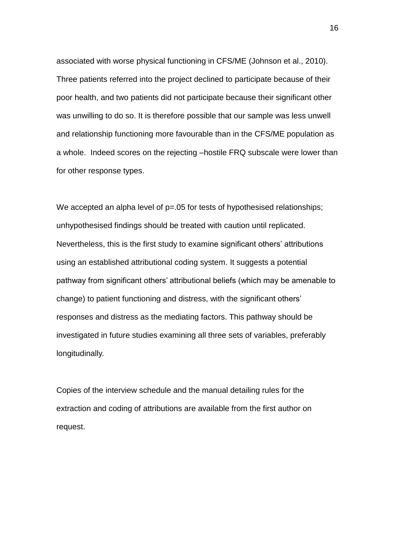associated with worse physical functioning in CFS/ME (Johnson et al., 2010). Three patients referred into the project declined to participate because of their poor health, and two patients did not participate because their significant other was unwilling to do so. It is therefore possible that our sample was less unwell and relationship functioning more favourable than in the CFS/ME population as a whole. Indeed scores on the rejecting –hostile FRQ subscale were lower than for other response types.

We accepted an alpha level of  $p=.05$  for tests of hypothesised relationships; unhypothesised findings should be treated with caution until replicated. Nevertheless, this is the first study to examine significant others' attributions using an established attributional coding system. It suggests a potential pathway from significant others" attributional beliefs (which may be amenable to change) to patient functioning and distress, with the significant others" responses and distress as the mediating factors. This pathway should be investigated in future studies examining all three sets of variables, preferably longitudinally.

Copies of the interview schedule and the manual detailing rules for the extraction and coding of attributions are available from the first author on request.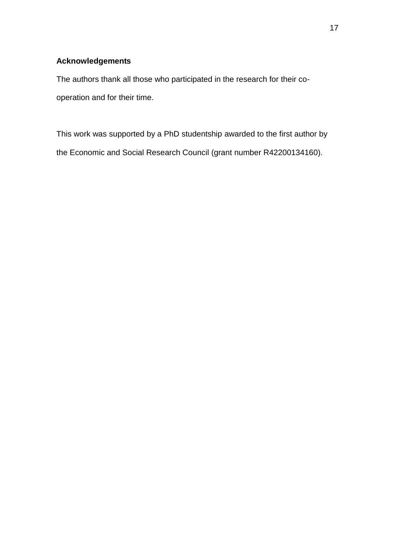## **Acknowledgements**

The authors thank all those who participated in the research for their cooperation and for their time.

This work was supported by a PhD studentship awarded to the first author by the Economic and Social Research Council (grant number R42200134160).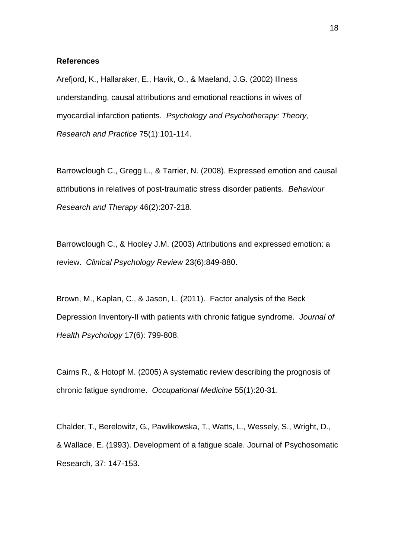#### **References**

Arefjord, K., Hallaraker, E., Havik, O., & Maeland, J.G. (2002) Illness understanding, causal attributions and emotional reactions in wives of myocardial infarction patients. *Psychology and Psychotherapy: Theory, Research and Practice* 75(1):101-114.

Barrowclough C., Gregg L., & Tarrier, N. (2008). Expressed emotion and causal attributions in relatives of post-traumatic stress disorder patients. *Behaviour Research and Therapy* 46(2):207-218.

Barrowclough C., & Hooley J.M. (2003) Attributions and expressed emotion: a review. *Clinical Psychology Review* 23(6):849-880.

Brown, M., Kaplan, C., & Jason, L. (2011). Factor analysis of the Beck Depression Inventory-II with patients with chronic fatigue syndrome. *Journal of Health Psychology* 17(6): 799-808.

Cairns R., & Hotopf M. (2005) A systematic review describing the prognosis of chronic fatigue syndrome. *Occupational Medicine* 55(1):20-31.

Chalder, T., Berelowitz, G., Pawlikowska, T., Watts, L., Wessely, S., Wright, D., & Wallace, E. (1993). Development of a fatigue scale. Journal of Psychosomatic Research, 37: 147-153.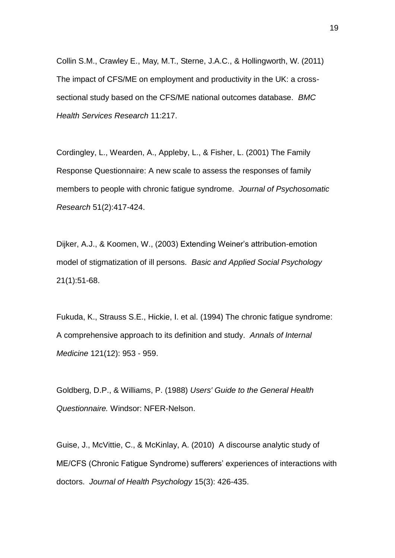Collin S.M., Crawley E., May, M.T., Sterne, J.A.C., & Hollingworth, W. (2011) The impact of CFS/ME on employment and productivity in the UK: a crosssectional study based on the CFS/ME national outcomes database. *BMC Health Services Research* 11:217.

Cordingley, L., Wearden, A., Appleby, L., & Fisher, L. (2001) The Family Response Questionnaire: A new scale to assess the responses of family members to people with chronic fatigue syndrome. *Journal of Psychosomatic Research* 51(2):417-424.

Dijker, A.J., & Koomen, W., (2003) Extending Weiner"s attribution-emotion model of stigmatization of ill persons. *Basic and Applied Social Psychology*  21(1):51-68.

Fukuda, K., Strauss S.E., Hickie, I. et al. (1994) The chronic fatigue syndrome: A comprehensive approach to its definition and study. *Annals of Internal Medicine* 121(12): 953 - 959.

Goldberg, D.P., & Williams, P. (1988) *Users' Guide to the General Health Questionnaire.* Windsor: NFER-Nelson.

Guise, J., McVittie, C., & McKinlay, A. (2010) A discourse analytic study of ME/CFS (Chronic Fatigue Syndrome) sufferers" experiences of interactions with doctors. *Journal of Health Psychology* 15(3): 426-435.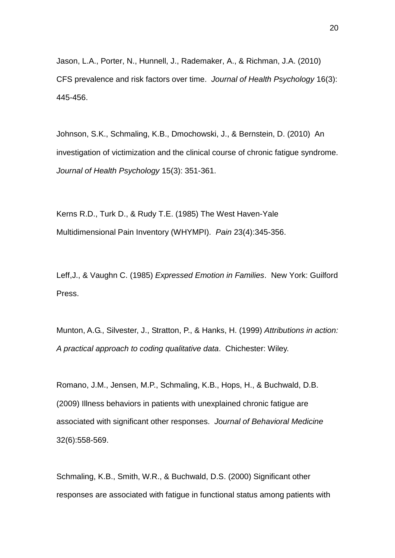Jason, L.A., Porter, N., Hunnell, J., Rademaker, A., & Richman, J.A. (2010) CFS prevalence and risk factors over time. *Journal of Health Psychology* 16(3): 445-456.

Johnson, S.K., Schmaling, K.B., Dmochowski, J., & Bernstein, D. (2010) An investigation of victimization and the clinical course of chronic fatigue syndrome. *Journal of Health Psychology* 15(3): 351-361.

Kerns R.D., Turk D., & Rudy T.E. (1985) The West Haven-Yale Multidimensional Pain Inventory (WHYMPI). *Pain* 23(4):345-356.

Leff,J., & Vaughn C. (1985) *Expressed Emotion in Families*. New York: Guilford Press.

Munton, A.G., Silvester, J., Stratton, P., & Hanks, H. (1999) *Attributions in action: A practical approach to coding qualitative data*. Chichester: Wiley.

Romano, J.M., Jensen, M.P., Schmaling, K.B., Hops, H., & Buchwald, D.B. (2009) Illness behaviors in patients with unexplained chronic fatigue are associated with significant other responses. *Journal of Behavioral Medicine*  32(6):558-569.

Schmaling, K.B., Smith, W.R., & Buchwald, D.S. (2000) Significant other responses are associated with fatigue in functional status among patients with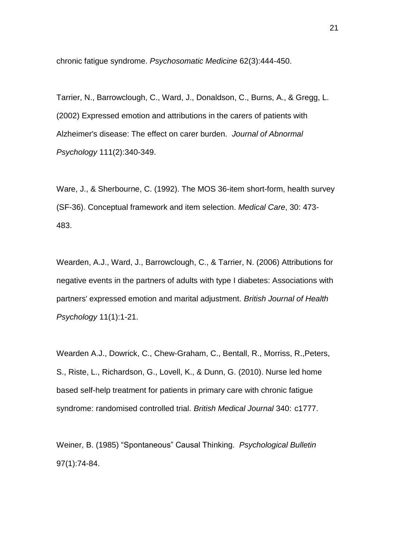chronic fatigue syndrome. *Psychosomatic Medicine* 62(3):444-450.

Tarrier, N., Barrowclough, C., Ward, J., Donaldson, C., Burns, A., & Gregg, L. (2002) Expressed emotion and attributions in the carers of patients with Alzheimer's disease: The effect on carer burden. *Journal of Abnormal Psychology* 111(2):340-349.

Ware, J., & Sherbourne, C. (1992). The MOS 36-item short-form, health survey (SF-36). Conceptual framework and item selection. *Medical Care*, 30: 473- 483.

Wearden, A.J., Ward, J., Barrowclough, C., & Tarrier, N. (2006) Attributions for negative events in the partners of adults with type I diabetes: Associations with partners' expressed emotion and marital adjustment. *British Journal of Health Psychology* 11(1):1-21.

Wearden A.J., Dowrick, C., Chew-Graham, C., Bentall, R., Morriss, R.,Peters, S., Riste, L., Richardson, G., Lovell, K., & Dunn, G. (2010). Nurse led home based self-help treatment for patients in primary care with chronic fatigue syndrome: randomised controlled trial. *British Medical Journal* 340: c1777.

Weiner, B. (1985) "Spontaneous" Causal Thinking. *Psychological Bulletin* 97(1):74-84.